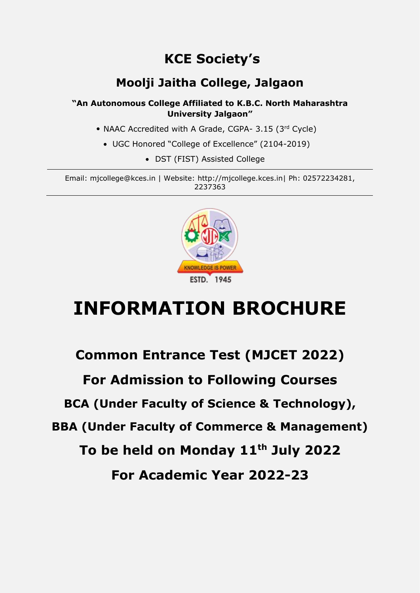## **KCE Society's**

### **Moolji Jaitha College, Jalgaon**

**"An Autonomous College Affiliated to K.B.C. North Maharashtra University Jalgaon"**

- NAAC Accredited with A Grade, CGPA- 3.15 (3rd Cycle)
	- UGC Honored "College of Excellence" (2104-2019)
		- DST (FIST) Assisted College

Email: mjcollege@kces.in | Website: http://mjcollege.kces.in| Ph: 02572234281, 2237363



# **INFORMATION BROCHURE**

## **Common Entrance Test (MJCET 2022) For Admission to Following Courses BCA (Under Faculty of Science & Technology), BBA (Under Faculty of Commerce & Management) To be held on Monday 11th July 2022 For Academic Year 2022-23**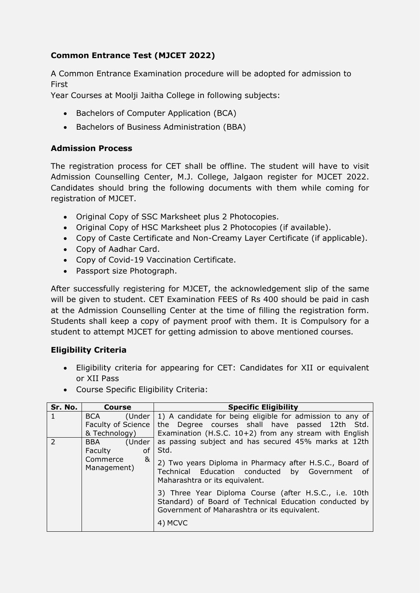### **Common Entrance Test (MJCET 2022)**

A Common Entrance Examination procedure will be adopted for admission to First

Year Courses at Moolji Jaitha College in following subjects:

- Bachelors of Computer Application (BCA)
- Bachelors of Business Administration (BBA)

#### **Admission Process**

The registration process for CET shall be offline. The student will have to visit Admission Counselling Center, M.J. College, Jalgaon register for MJCET 2022. Candidates should bring the following documents with them while coming for registration of MJCET.

- Original Copy of SSC Marksheet plus 2 Photocopies.
- Original Copy of HSC Marksheet plus 2 Photocopies (if available).
- Copy of Caste Certificate and Non-Creamy Layer Certificate (if applicable).
- Copy of Aadhar Card.
- Copy of Covid-19 Vaccination Certificate.
- Passport size Photograph.

After successfully registering for MJCET, the acknowledgement slip of the same will be given to student. CET Examination FEES of Rs 400 should be paid in cash at the Admission Counselling Center at the time of filling the registration form. Students shall keep a copy of payment proof with them. It is Compulsory for a student to attempt MJCET for getting admission to above mentioned courses.

#### **Eligibility Criteria**

- Eligibility criteria for appearing for CET: Candidates for XII or equivalent or XII Pass
- Course Specific Eligibility Criteria:

| Sr. No.                      | <b>Course</b>                                        | <b>Specific Eligibility</b>                                                                                                                                              |
|------------------------------|------------------------------------------------------|--------------------------------------------------------------------------------------------------------------------------------------------------------------------------|
| 1                            | (Under<br>BCA<br>Faculty of Science<br>& Technology) | 1) A candidate for being eligible for admission to any of<br>the Degree courses shall have passed 12th Std.<br>Examination (H.S.C. $10+2$ ) from any stream with English |
| $\mathcal{P}$                | (Under<br><b>BBA</b><br><b>Faculty</b><br>οf         | as passing subject and has secured 45% marks at 12th<br>Std.                                                                                                             |
| Commerce<br>&<br>Management) |                                                      | 2) Two years Diploma in Pharmacy after H.S.C., Board of<br>Technical Education conducted by Government of<br>Maharashtra or its equivalent.                              |
|                              |                                                      | 3) Three Year Diploma Course (after H.S.C., i.e. 10th<br>Standard) of Board of Technical Education conducted by<br>Government of Maharashtra or its equivalent.          |
|                              |                                                      | 4) MCVC                                                                                                                                                                  |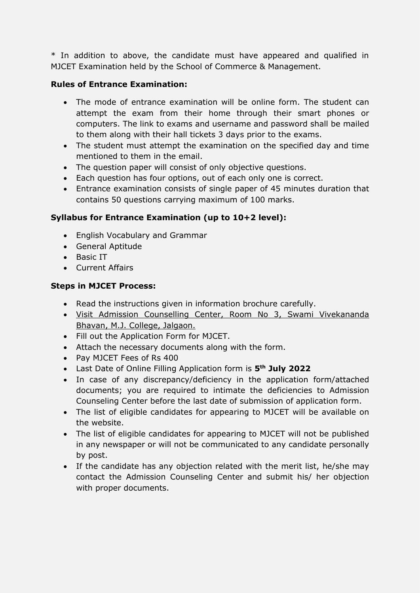\* In addition to above, the candidate must have appeared and qualified in MJCET Examination held by the School of Commerce & Management.

#### **Rules of Entrance Examination:**

- The mode of entrance examination will be online form. The student can attempt the exam from their home through their smart phones or computers. The link to exams and username and password shall be mailed to them along with their hall tickets 3 days prior to the exams.
- The student must attempt the examination on the specified day and time mentioned to them in the email.
- The question paper will consist of only objective questions.
- Each question has four options, out of each only one is correct.
- Entrance examination consists of single paper of 45 minutes duration that contains 50 questions carrying maximum of 100 marks.

#### **Syllabus for Entrance Examination (up to 10+2 level):**

- English Vocabulary and Grammar
- General Aptitude
- Basic IT
- Current Affairs

#### **Steps in MJCET Process:**

- Read the instructions given in information brochure carefully.
- Visit Admission Counselling Center, Room No 3, Swami Vivekananda Bhavan, M.J. College, Jalgaon.
- Fill out the Application Form for MJCET.
- Attach the necessary documents along with the form.
- Pay MJCET Fees of Rs 400
- Last Date of Online Filling Application form is **5 th July 2022**
- In case of any discrepancy/deficiency in the application form/attached documents; you are required to intimate the deficiencies to Admission Counseling Center before the last date of submission of application form.
- The list of eligible candidates for appearing to MJCET will be available on the website.
- The list of eligible candidates for appearing to MJCET will not be published in any newspaper or will not be communicated to any candidate personally by post.
- If the candidate has any objection related with the merit list, he/she may contact the Admission Counseling Center and submit his/ her objection with proper documents.